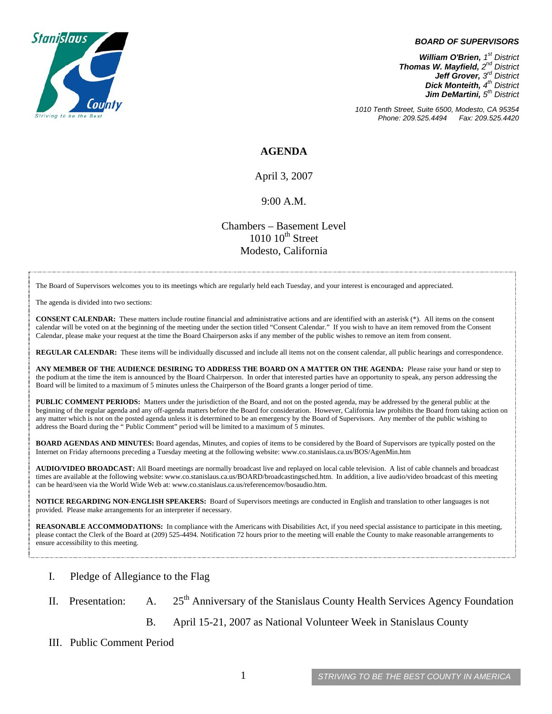

#### *BOARD OF SUPERVISORS*

*William O'Brien, 1<sup>st</sup> District Thomas W. Mayfield, 2nd District Jeff Grover, 3rd District Dick Monteith, 4<sup>th</sup> District Jim DeMartini, 5th District*

*1010 Tenth Street, Suite 6500, Modesto, CA 95354 Phone: 209.525.4494* 

#### **AGENDA**

April 3, 2007

#### 9:00 A.M.

Chambers – Basement Level  $1010~10<sup>th</sup>$  Street Modesto, California

The Board of Supervisors welcomes you to its meetings which are regularly held each Tuesday, and your interest is encouraged and appreciated.

The agenda is divided into two sections:

**CONSENT CALENDAR:** These matters include routine financial and administrative actions and are identified with an asterisk (\*). All items on the consent calendar will be voted on at the beginning of the meeting under the section titled "Consent Calendar." If you wish to have an item removed from the Consent Calendar, please make your request at the time the Board Chairperson asks if any member of the public wishes to remove an item from consent.

**REGULAR CALENDAR:** These items will be individually discussed and include all items not on the consent calendar, all public hearings and correspondence.

**ANY MEMBER OF THE AUDIENCE DESIRING TO ADDRESS THE BOARD ON A MATTER ON THE AGENDA:** Please raise your hand or step to the podium at the time the item is announced by the Board Chairperson. In order that interested parties have an opportunity to speak, any person addressing the Board will be limited to a maximum of 5 minutes unless the Chairperson of the Board grants a longer period of time.

**PUBLIC COMMENT PERIODS:** Matters under the jurisdiction of the Board, and not on the posted agenda, may be addressed by the general public at the beginning of the regular agenda and any off-agenda matters before the Board for consideration. However, California law prohibits the Board from taking action on any matter which is not on the posted agenda unless it is determined to be an emergency by the Board of Supervisors. Any member of the public wishing to address the Board during the " Public Comment" period will be limited to a maximum of 5 minutes.

**BOARD AGENDAS AND MINUTES:** Board agendas, Minutes, and copies of items to be considered by the Board of Supervisors are typically posted on the Internet on Friday afternoons preceding a Tuesday meeting at the following website: [www.co.stanislaus.ca.us/BOS/AgenMin.htm](http://www.co.stanislaus.ca.us/BOS/AgenMin.htm) 

**AUDIO/VIDEO BROADCAST:** All Board meetings are normally broadcast live and replayed on local cable television. A list of cable channels and broadcast times are available at the following website: [www.co.stanislaus.ca.us/BOARD/broadcastingsched.htm](http://www.co.stanislaus.ca.us/BOARD/broadcastingsched.htm). In addition, a live audio/video broadcast of this meeting can be heard/seen via the World Wide Web at: [www.co.stanislaus.ca.us/referencemov/bosaudio.htm.](http://www.co.stanislaus.ca.us/referencemov/bosaudio.htm)

**NOTICE REGARDING NON-ENGLISH SPEAKERS:** Board of Supervisors meetings are conducted in English and translation to other languages is not provided. Please make arrangements for an interpreter if necessary.

**REASONABLE ACCOMMODATIONS:** In compliance with the Americans with Disabilities Act, if you need special assistance to participate in this meeting, please contact the Clerk of the Board at (209) 525-4494. Notification 72 hours prior to the meeting will enable the County to make reasonable arrangements to ensure accessibility to this meeting.

- I. Pledge of Allegiance to the Flag
- II. Presentation: A.  $25<sup>th</sup>$  Anniversary of the Stanislaus County Health Services Agency Foundation
	- B. April 15-21, 2007 as National Volunteer Week in Stanislaus County
- III. Public Comment Period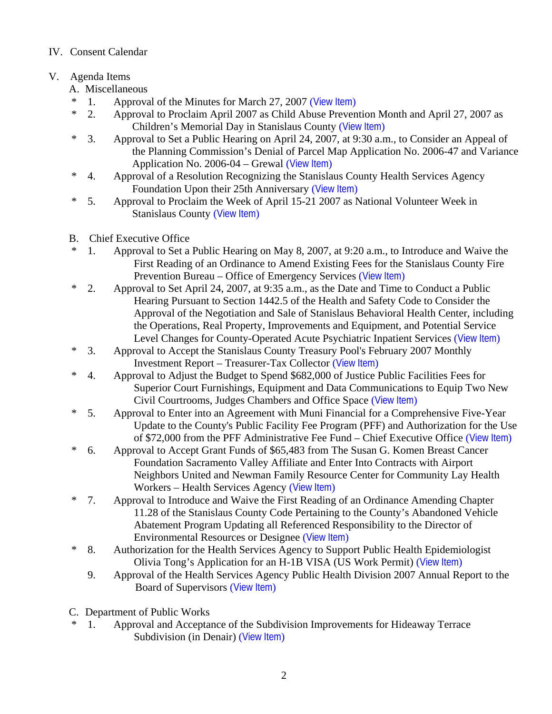# IV. Consent Calendar

# V. Agenda Items

- A. Miscellaneous
- \* 1. Approval of the Minutes for March 27, 2007 ([View Item](http://www.co.stanislaus.ca.us/bos/minutes/2007/min03-27-07.pdf))
- \* 2. Approval to Proclaim April 2007 as Child Abuse Prevention Month and April 27, 2007 as Children's Memorial Day in Stanislaus County ([View Item](http://www.co.stanislaus.ca.us/bos/agenda/2007/20070403/A02.pdf))
- \* 3. Approval to Set a Public Hearing on April 24, 2007, at 9:30 a.m., to Consider an Appeal of the Planning Commission's Denial of Parcel Map Application No. 2006-47 and Variance Application No. 2006-04 – Grewal ([View Item](http://www.co.stanislaus.ca.us/bos/agenda/2007/20070403/A03.pdf))
- \* 4. Approval of a Resolution Recognizing the Stanislaus County Health Services Agency Foundation Upon their 25th Anniversary ([View Item](http://www.co.stanislaus.ca.us/bos/agenda/2007/20070403/A04.pdf))
- \* 5. Approval to Proclaim the Week of April 15-21 2007 as National Volunteer Week in Stanislaus County ([View Item](http://www.co.stanislaus.ca.us/bos/agenda/2007/20070403/A05.pdf))
- B. Chief Executive Office
- \* 1. Approval to Set a Public Hearing on May 8, 2007, at 9:20 a.m., to Introduce and Waive the First Reading of an Ordinance to Amend Existing Fees for the Stanislaus County Fire Prevention Bureau – Office of Emergency Services ([View Item](http://www.co.stanislaus.ca.us/bos/agenda/2007/20070403/B01.pdf))
- \* 2. Approval to Set April 24, 2007, at 9:35 a.m., as the Date and Time to Conduct a Public Hearing Pursuant to Section 1442.5 of the Health and Safety Code to Consider the Approval of the Negotiation and Sale of Stanislaus Behavioral Health Center, including the Operations, Real Property, Improvements and Equipment, and Potential Service Level Changes for County-Operated Acute Psychiatric Inpatient Services ([View Item](http://www.co.stanislaus.ca.us/bos/agenda/2007/20070403/B02.pdf))
- \* 3. Approval to Accept the Stanislaus County Treasury Pool's February 2007 Monthly Investment Report – Treasurer-Tax Collector ([View Item](http://www.co.stanislaus.ca.us/bos/agenda/2007/20070403/B03.pdf))
- \* 4. Approval to Adjust the Budget to Spend \$682,000 of Justice Public Facilities Fees for Superior Court Furnishings, Equipment and Data Communications to Equip Two New Civil Courtrooms, Judges Chambers and Office Space ([View Item](http://www.co.stanislaus.ca.us/bos/agenda/2007/20070403/B04.pdf))
- \* 5. Approval to Enter into an Agreement with Muni Financial for a Comprehensive Five-Year Update to the County's Public Facility Fee Program (PFF) and Authorization for the Use of \$72,000 from the PFF Administrative Fee Fund – Chief Executive Office ([View Item](http://www.co.stanislaus.ca.us/bos/agenda/2007/20070403/B05.pdf))
- \* 6. Approval to Accept Grant Funds of \$65,483 from The Susan G. Komen Breast Cancer Foundation Sacramento Valley Affiliate and Enter Into Contracts with Airport Neighbors United and Newman Family Resource Center for Community Lay Health Workers – Health Services Agency ([View Item](http://www.co.stanislaus.ca.us/bos/agenda/2007/20070403/B06.pdf))
- \* 7. Approval to Introduce and Waive the First Reading of an Ordinance Amending Chapter 11.28 of the Stanislaus County Code Pertaining to the County's Abandoned Vehicle Abatement Program Updating all Referenced Responsibility to the Director of Environmental Resources or Designee ([View Item](http://www.co.stanislaus.ca.us/bos/agenda/2007/20070403/B07.pdf))
- \* 8. Authorization for the Health Services Agency to Support Public Health Epidemiologist Olivia Tong's Application for an H-1B VISA (US Work Permit) ([View Item](http://www.co.stanislaus.ca.us/bos/agenda/2007/20070403/B08.pdf))
	- 9. Approval of the Health Services Agency Public Health Division 2007 Annual Report to the Board of Supervisors ([View Item](http://www.co.stanislaus.ca.us/bos/agenda/2007/20070403/B09.pdf))
- C. Department of Public Works
- 1. Approval and Acceptance of the Subdivision Improvements for Hideaway Terrace Subdivision (in Denair) ([View Item](http://www.co.stanislaus.ca.us/bos/agenda/2007/20070403/C01.pdf))